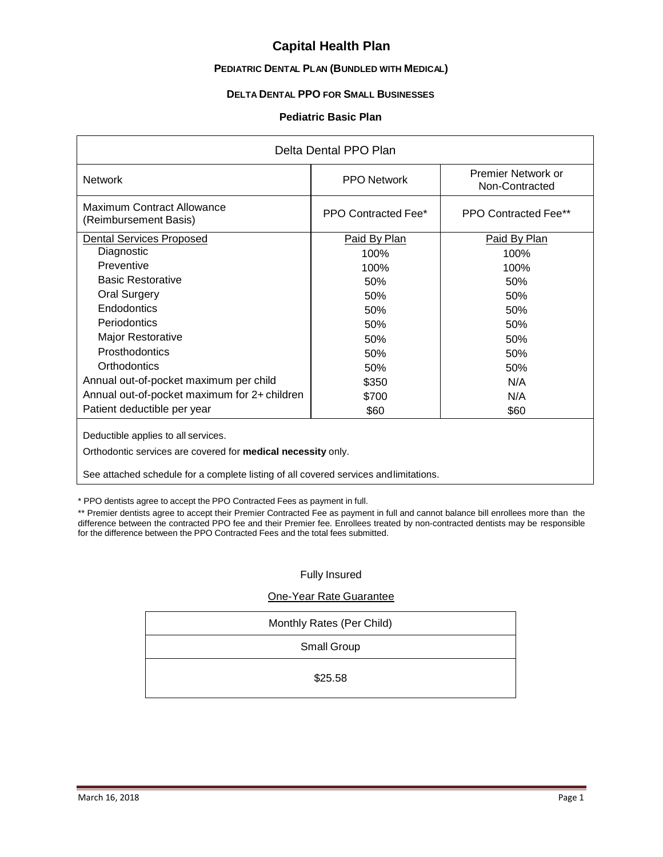# **Capital Health Plan**

# **PEDIATRIC DENTAL PLAN (BUNDLED WITH MEDICAL)**

## **DELTA DENTAL PPO FOR SMALL BUSINESSES**

## **Pediatric Basic Plan**

| Delta Dental PPO Plan                                      |                     |                                      |  |  |
|------------------------------------------------------------|---------------------|--------------------------------------|--|--|
| <b>Network</b>                                             | <b>PPO Network</b>  | Premier Network or<br>Non-Contracted |  |  |
| <b>Maximum Contract Allowance</b><br>(Reimbursement Basis) | PPO Contracted Fee* | PPO Contracted Fee**                 |  |  |
| <b>Dental Services Proposed</b>                            | Paid By Plan        | Paid By Plan                         |  |  |
| Diagnostic                                                 | 100%                | 100%                                 |  |  |
| <b>Preventive</b>                                          | 100%                | 100%                                 |  |  |
| <b>Basic Restorative</b>                                   | 50%                 | 50%                                  |  |  |
| <b>Oral Surgery</b>                                        | 50%                 | 50%                                  |  |  |
| Endodontics                                                | 50%                 | 50%                                  |  |  |
| Periodontics                                               | 50%                 | 50%                                  |  |  |
| <b>Major Restorative</b>                                   | 50%                 | 50%                                  |  |  |
| Prosthodontics                                             | 50%                 | 50%                                  |  |  |
| Orthodontics                                               | 50%                 | 50%                                  |  |  |
| Annual out-of-pocket maximum per child                     | \$350               | N/A                                  |  |  |
| Annual out-of-pocket maximum for 2+ children               | \$700               | N/A                                  |  |  |
| Patient deductible per year                                | \$60                | \$60                                 |  |  |

Deductible applies to all services.

Orthodontic services are covered for **medical necessity** only.

See attached schedule for a complete listing of all covered services andlimitations.

\* PPO dentists agree to accept the PPO Contracted Fees as payment in full.

\*\* Premier dentists agree to accept their Premier Contracted Fee as payment in full and cannot balance bill enrollees more than the difference between the contracted PPO fee and their Premier fee. Enrollees treated by non-contracted dentists may be responsible for the difference between the PPO Contracted Fees and the total fees submitted.

#### Fully Insured

#### One-Year Rate Guarantee

| Monthly Rates (Per Child) |  |  |
|---------------------------|--|--|
|                           |  |  |

#### Small Group

\$25.58